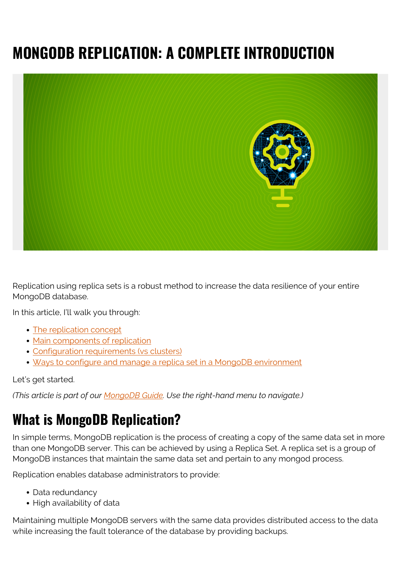# **MONGODB REPLICATION: A COMPLETE INTRODUCTION**



Replication using replica sets is a robust method to increase the data resilience of your entire MongoDB database.

In this article, I'll walk you through:

- [The replication concept](#page--1-0)
- [Main components of replication](#page--1-0)
- [Configuration requirements \(vs clusters\)](#page--1-0)
- [Ways to configure and manage a replica set in a MongoDB environment](#page--1-0)

Let's get started.

*(This article is part of our [MongoDB Guide](https://blogs.bmc.com/blogs/mongodb-overview-getting-started-with-mongodb/). Use the right-hand menu to navigate.)*

## **What is MongoDB Replication?**

In simple terms, MongoDB replication is the process of creating a copy of the same data set in more than one MongoDB server. This can be achieved by using a Replica Set. A replica set is a group of MongoDB instances that maintain the same data set and pertain to any mongod process.

Replication enables database administrators to provide:

- Data redundancy
- High availability of data

Maintaining multiple MongoDB servers with the same data provides distributed access to the data while increasing the fault tolerance of the database by providing backups.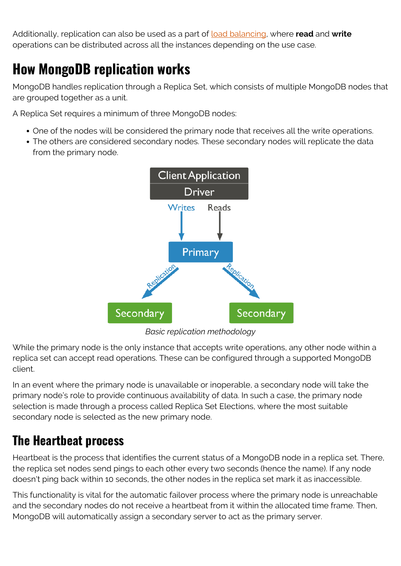Additionally, replication can also be used as a part of [load balancing](https://www.bmc.com/blogs/load-balancing/), where **read** and **write** operations can be distributed across all the instances depending on the use case.

### **How MongoDB replication works**

MongoDB handles replication through a Replica Set, which consists of multiple MongoDB nodes that are grouped together as a unit.

A Replica Set requires a minimum of three MongoDB nodes:

- One of the nodes will be considered the primary node that receives all the write operations.
- The others are considered secondary nodes. These secondary nodes will replicate the data from the primary node.



*Basic replication methodology*

While the primary node is the only instance that accepts write operations, any other node within a replica set can accept read operations. These can be configured through a supported MongoDB client.

In an event where the primary node is unavailable or inoperable, a secondary node will take the primary node's role to provide continuous availability of data. In such a case, the primary node selection is made through a process called Replica Set Elections, where the most suitable secondary node is selected as the new primary node.

#### **The Heartbeat process**

Heartbeat is the process that identifies the current status of a MongoDB node in a replica set. There, the replica set nodes send pings to each other every two seconds (hence the name). If any node doesn't ping back within 10 seconds, the other nodes in the replica set mark it as inaccessible.

This functionality is vital for the automatic failover process where the primary node is unreachable and the secondary nodes do not receive a heartbeat from it within the allocated time frame. Then, MongoDB will automatically assign a secondary server to act as the primary server.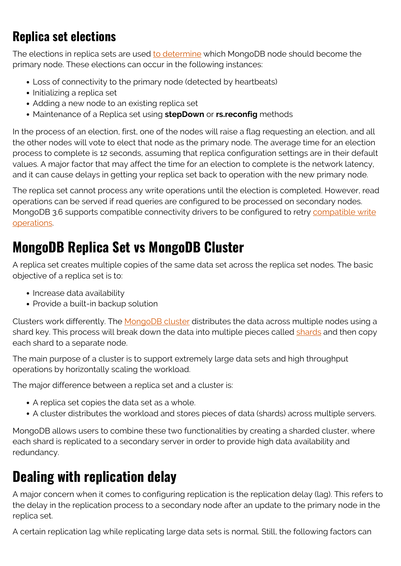### **Replica set elections**

The elections in replica sets are used [to determine](https://docs.mongodb.com/manual/core/replica-set-elections/) which MongoDB node should become the primary node. These elections can occur in the following instances:

- Loss of connectivity to the primary node (detected by heartbeats)
- Initializing a replica set
- Adding a new node to an existing replica set
- Maintenance of a Replica set using **stepDown** or **rs.reconfig** methods

In the process of an election, first, one of the nodes will raise a flag requesting an election, and all the other nodes will vote to elect that node as the primary node. The average time for an election process to complete is 12 seconds, assuming that replica configuration settings are in their default values. A major factor that may affect the time for an election to complete is the network latency, and it can cause delays in getting your replica set back to operation with the new primary node.

The replica set cannot process any write operations until the election is completed. However, read operations can be served if read queries are configured to be processed on secondary nodes. MongoDB 3.6 supports compatible connectivity drivers to be configured to retry [compatible write](https://docs.mongodb.com/manual/core/retryable-writes/#retryable-writes) [operations.](https://docs.mongodb.com/manual/core/retryable-writes/#retryable-writes)

### **MongoDB Replica Set vs MongoDB Cluster**

A replica set creates multiple copies of the same data set across the replica set nodes. The basic objective of a replica set is to:

- Increase data availability
- Provide a built-in backup solution

Clusters work differently. The [MongoDB cluster](https://blogs.bmc.com/blogs/how-to-setup-mongodb-cluster/) distributes the data across multiple nodes using a shard key. This process will break down the data into multiple pieces called [shards](https://blogs.bmc.com/blogs/mongodb-sharding-explained/) and then copy each shard to a separate node.

The main purpose of a cluster is to support extremely large data sets and high throughput operations by horizontally scaling the workload.

The major difference between a replica set and a cluster is:

- A replica set copies the data set as a whole.
- A cluster distributes the workload and stores pieces of data (shards) across multiple servers.

MongoDB allows users to combine these two functionalities by creating a sharded cluster, where each shard is replicated to a secondary server in order to provide high data availability and redundancy.

### **Dealing with replication delay**

A major concern when it comes to configuring replication is the replication delay (lag). This refers to the delay in the replication process to a secondary node after an update to the primary node in the replica set.

A certain replication lag while replicating large data sets is normal. Still, the following factors can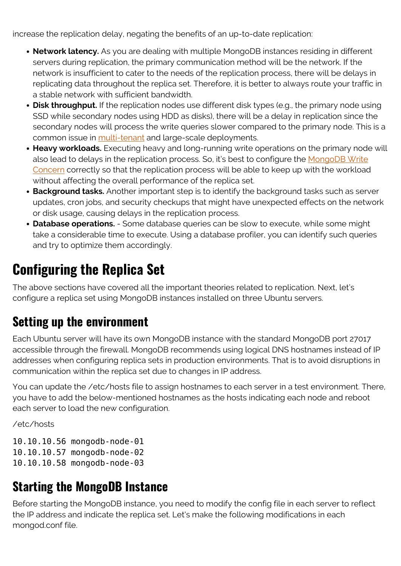increase the replication delay, negating the benefits of an up-to-date replication:

- **Network latency.** As you are dealing with multiple MongoDB instances residing in different servers during replication, the primary communication method will be the network. If the network is insufficient to cater to the needs of the replication process, there will be delays in replicating data throughout the replica set. Therefore, it is better to always route your traffic in a stable network with sufficient bandwidth.
- **Disk throughput.** If the replication nodes use different disk types (e.g., the primary node using SSD while secondary nodes using HDD as disks), there will be a delay in replication since the secondary nodes will process the write queries slower compared to the primary node. This is a common issue in [multi-tenant](https://blogs.bmc.com/blogs/single-tenant-vs-multi-tenant/) and large-scale deployments.
- **Heavy workloads.** Executing heavy and long-running write operations on the primary node will also lead to delays in the replication process. So, it's best to configure the [MongoDB Write](https://docs.mongodb.com/manual/reference/write-concern/) [Concern](https://docs.mongodb.com/manual/reference/write-concern/) correctly so that the replication process will be able to keep up with the workload without affecting the overall performance of the replica set.
- **Background tasks.** Another important step is to identify the background tasks such as server updates, cron jobs, and security checkups that might have unexpected effects on the network or disk usage, causing delays in the replication process.
- **Database operations.** Some database queries can be slow to execute, while some might take a considerable time to execute. Using a database profiler, you can identify such queries and try to optimize them accordingly.

### **Configuring the Replica Set**

The above sections have covered all the important theories related to replication. Next, let's configure a replica set using MongoDB instances installed on three Ubuntu servers.

#### **Setting up the environment**

Each Ubuntu server will have its own MongoDB instance with the standard MongoDB port 27017 accessible through the firewall. MongoDB recommends using logical DNS hostnames instead of IP addresses when configuring replica sets in production environments. That is to avoid disruptions in communication within the replica set due to changes in IP address.

You can update the /etc/hosts file to assign hostnames to each server in a test environment. There, you have to add the below-mentioned hostnames as the hosts indicating each node and reboot each server to load the new configuration.

/etc/hosts

10.10.10.56 mongodb-node-01 10.10.10.57 mongodb-node-02 10.10.10.58 mongodb-node-03

#### **Starting the MongoDB Instance**

Before starting the MongoDB instance, you need to modify the config file in each server to reflect the IP address and indicate the replica set. Let's make the following modifications in each mongod.conf file.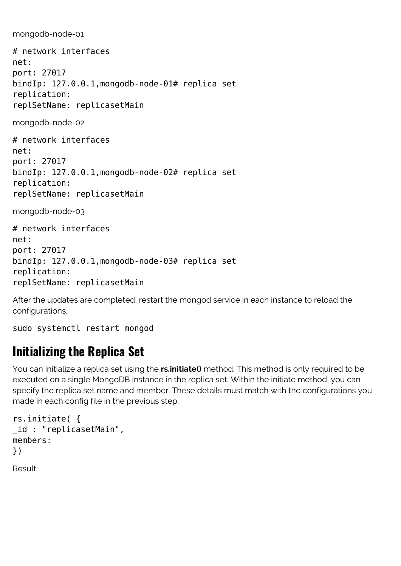mongodb-node-01

# network interfaces net: port: 27017 bindIp: 127.0.0.1,mongodb-node-01# replica set replication: replSetName: replicasetMain

mongodb-node-02

# network interfaces net: port: 27017 bindIp: 127.0.0.1,mongodb-node-02# replica set replication: replSetName: replicasetMain

mongodb-node-03

# network interfaces net: port: 27017 bindIp: 127.0.0.1,mongodb-node-03# replica set replication: replSetName: replicasetMain

After the updates are completed, restart the mongod service in each instance to reload the configurations.

```
sudo systemctl restart mongod
```
### **Initializing the Replica Set**

You can initialize a replica set using the **rs.initiate()** method. This method is only required to be executed on a single MongoDB instance in the replica set. Within the initiate method, you can specify the replica set name and member. These details must match with the configurations you made in each config file in the previous step.

```
rs.initiate( {
_id : "replicasetMain",
members:
})
Result:
```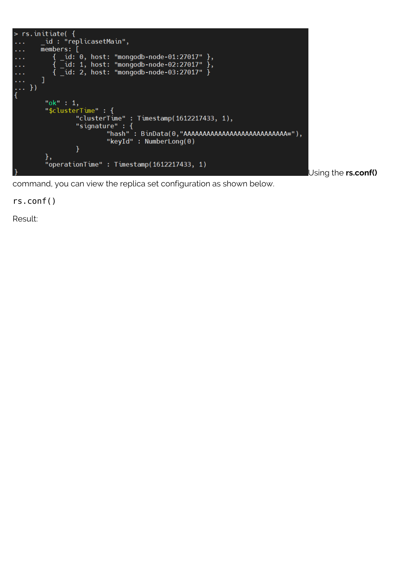

Using the **rs.conf()**

command, you can view the replica set configuration as shown below.

rs.conf()

Result: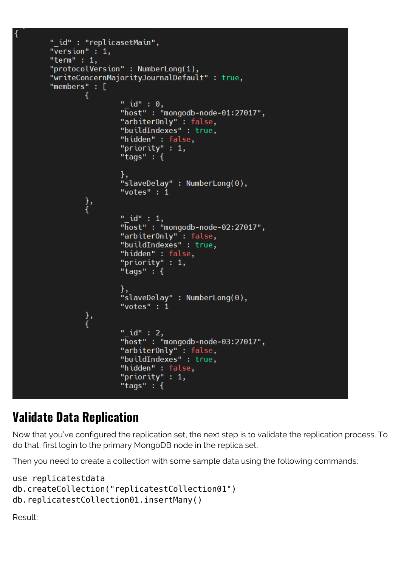```
" id" : "replicasetMain",
"\bar{v}ersion" : 1,
"term" : 1,"protocolVersion" : NumberLong(1),
"writeConcernMajorityJournalDefault" : true,
"members" : [
        €
                 " id" : 0,
                 "\overline{\text{host}}": "mongodb-node-01:27017",
                 "arbiter0nly": false,
                 "buildIndexes" : true,
                 "hidden" : false,
                 "priority" : 1,
                 "tags" : \{"slaveDelay" : NumberLong(0),
                 "votes" : 1},<br>{
                 " id" : 1,
                 "host": "mongodb-node-02:27017",
                 "arbiterOnly" : false,
                 "buildIndexes" : true,
                 "hidden" : false,
                 "priority" : 1,
                 "tags" : \{"slaveDelay" : NumberLong(0),
                 "votes" : 1\},
                 " id" : 2,"\overline{\text{host}}": "mongodb-node-03:27017",
                 "arbiter0nly": false,
                 "buildIndexes" : true,
                 "hidden" : false,
                 "priority" : 1,
                 "tags" : \{
```
#### **Validate Data Replication**

Now that you've configured the replication set, the next step is to validate the replication process. To do that, first login to the primary MongoDB node in the replica set.

Then you need to create a collection with some sample data using the following commands:

```
use replicatestdata
db.createCollection("replicatestCollection01")
db.replicatestCollection01.insertMany()
```

```
Result:
```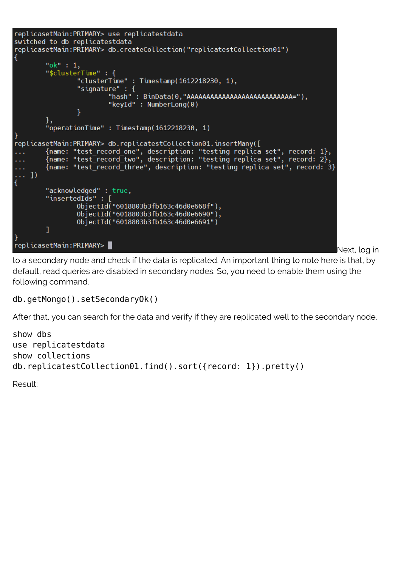```
replicasetMain: PRIMARY> use replicatestdata
switched to db replicatestdata
replicasetMain:PRIMARY> db.createCollection("replicatestCollection01")
ł
        "ok" : 1,
        "$clusterTime" : {
                "clusterTime": Timestamp(1612218230, 1),
                "signature" : {
                         "hash": BinData(0,"AAAAAAAAAAAAAAAAAAAAAAAAAAA="),
                        "keyId" : NumberLong(0)
                ł
        "operationTime": Timestamp(1612218230, 1)
replicasetMain:PRIMARY> db.replicatestCollection01.insertMany([
        {name: "test_record_one", description: "testing replica set", record: 1},
        \{\text{name}: "test record two", description: "testing replica set", record: 2},
. . .
        {name: "test record three", description: "testing replica set", record: 3}
. . .
\ldots])
ł
        "acknowledged": true,
        "insertedIds": [
                ObjectId("6018803b3fb163c46d0e668f"),
                0bjectId("6018803b3fb163c46d0e6690"),
                0bjectId("6018803b3fb163c46d0e6691")
        ı
replicasetMain: PRIMARY>
```
Next, log in

to a secondary node and check if the data is replicated. An important thing to note here is that, by default, read queries are disabled in secondary nodes. So, you need to enable them using the following command.

#### db.getMongo().setSecondaryOk()

After that, you can search for the data and verify if they are replicated well to the secondary node.

```
show dbs
use replicatestdata
show collections
db.replicatestCollection01.find().sort({record: 1}).pretty()
```
Result: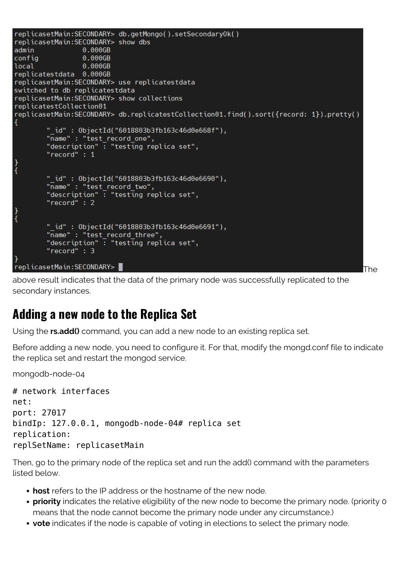```
replicasetMain:SECONDARY> db.getMongo().setSecondary0k()
replicasetMain:SECONDARY> show dbs
                 0.000GB
admin
config
                 0.000GB
                 0.000GB
local
replicatestdata 0.000GB
replicasetMain:SECONDARY> use replicatestdata
switched to db replicatestdata
replicasetMain:SECONDARY> show collections
replicatestCollection01
replicasetMain:SECONDARY> db.replicatestCollection01.find().sort({record: 1}).pretty()
Ł
        "_id": 0bjectId("6018803b3fb163c46d0e668f"),
        "name" : "test record one",
        "description": "testing replica set",
        "record" : 1" id": 0bjectId("6018803b3fb163c46d0e6690"),
        "name" : "test_record_two",
        "description": "testing replica set",
        "record" : 2
\frac{1}{3}" id": 0bjectId("6018803b3fb163c46d0e6691"),
        "name" : "test record three",
        "description": "testing replica set",
        "record" : 3
replicasetMain:SECONDARY>
                                                                                        The
```
above result indicates that the data of the primary node was successfully replicated to the secondary instances.

#### **Adding a new node to the Replica Set**

Using the **rs.add()** command, you can add a new node to an existing replica set.

Before adding a new node, you need to configure it. For that, modify the mongd.conf file to indicate the replica set and restart the mongod service.

mongodb-node-04

```
# network interfaces
net:
port: 27017
bindIp: 127.0.0.1, mongodb-node-04# replica set
replication:
replSetName: replicasetMain
```
Then, go to the primary node of the replica set and run the add() command with the parameters listed below.

- **host** refers to the IP address or the hostname of the new node.
- **priority** indicates the relative eligibility of the new node to become the primary node. (priority 0 means that the node cannot become the primary node under any circumstance.)
- **vote** indicates if the node is capable of voting in elections to select the primary node.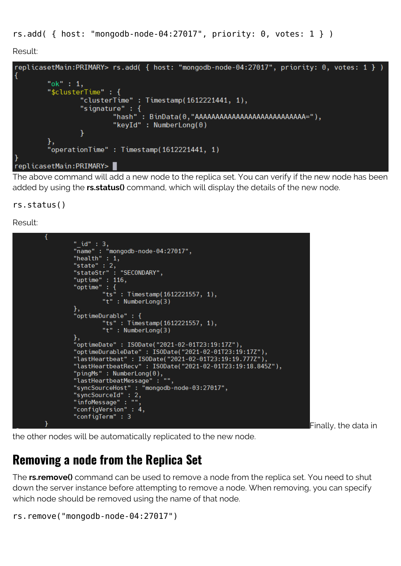rs.add( $\{ host: "monqodb-node-04:27017", priority: 0, votes: 1 }\)$ 

Result:



The above command will add a new node to the replica set. You can verify if the new node has been added by using the **rs.status()** command, which will display the details of the new node.

rs.status()

Result:

```
"_id" : 3,<br>"name" : "mongodb-node-04:27017",<br>"health" : 1,
"state" : 2,<br>"stateStr" : "SECONDARY",
"uptime" : 116,
"optime" : \overline{\{}"ts" : Timestamp(1612221557, 1),<br>"t" : NumberLong(3)
"optimeDurable" : \{"ts" : Timestamp(1612221557, 1),<br>"t" : NumberLong(3)
<u>}</u>,
"optimeDate": ISODate("2021-02-01T23:19:17Z"),
"optimeDurableDate": ISODate("2021-02-01T23:19:17Z"),
"lastHeartbeat": ISODate("2021-02-01T23:19:19.777Z"),
"lastHeartbeatRecv": ISODate("2021-02-01T23:19:18.845Z"),
"pingMs" : NumberLong(0),<br>"lastHeartbeatMessage" : ""<sub>;</sub>
"syncSourceHost": "mongodb-node-03:27017",<br>"syncSourceHost": "mongodb-node-03:27017",
"infoMessage": "",
"configVersion": 4,
"configTerm" : 3
```
Finally, the data in

the other nodes will be automatically replicated to the new node.

### **Removing a node from the Replica Set**

The **rs.remove()** command can be used to remove a node from the replica set. You need to shut down the server instance before attempting to remove a node. When removing, you can specify which node should be removed using the name of that node.

```
rs.remove("mongodb-node-04:27017")
```